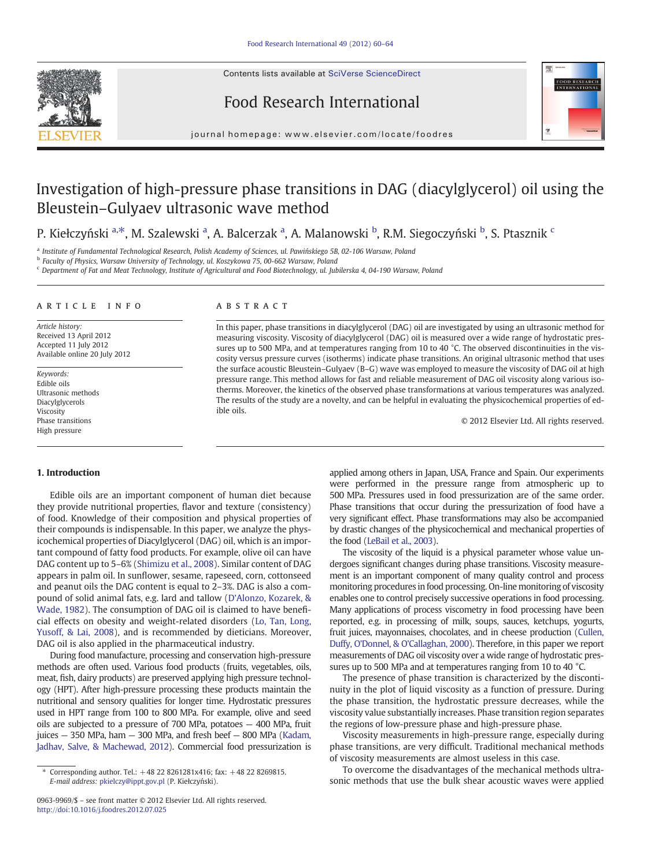Contents lists available at [SciVerse ScienceDirect](http://www.sciencedirect.com/science/journal/09639969)







journal homepage: www.elsevier.com/locate/foodres

# Investigation of high-pressure phase transitions in DAG (diacylglycerol) oil using the Bleustein–Gulyaev ultrasonic wave method

P. Kiełczyński a,\*, M. Szalewski a, A. Balcerzak a, A. Malanowski b, R.M. Siegoczyński b, S. Ptasznik <sup>c</sup>

<sup>a</sup> Institute of Fundamental Technological Research, Polish Academy of Sciences, ul. Pawińskiego 5B, 02-106 Warsaw, Poland

<sup>b</sup> Faculty of Physics, Warsaw University of Technology, ul. Koszykowa 75, 00-662 Warsaw, Poland

<sup>c</sup> Department of Fat and Meat Technology, Institute of Agricultural and Food Biotechnology, ul. Jubilerska 4, 04-190 Warsaw, Poland

#### ARTICLE INFO ABSTRACT

Article history: Received 13 April 2012 Accepted 11 July 2012 Available online 20 July 2012

Keywords: Edible oils Ultrasonic methods Diacylglycerols Viscosity Phase transitions High pressure

In this paper, phase transitions in diacylglycerol (DAG) oil are investigated by using an ultrasonic method for measuring viscosity. Viscosity of diacylglycerol (DAG) oil is measured over a wide range of hydrostatic pressures up to 500 MPa, and at temperatures ranging from 10 to 40 °C. The observed discontinuities in the viscosity versus pressure curves (isotherms) indicate phase transitions. An original ultrasonic method that uses the surface acoustic Bleustein–Gulyaev (B–G) wave was employed to measure the viscosity of DAG oil at high pressure range. This method allows for fast and reliable measurement of DAG oil viscosity along various isotherms. Moreover, the kinetics of the observed phase transformations at various temperatures was analyzed. The results of the study are a novelty, and can be helpful in evaluating the physicochemical properties of edible oils.

© 2012 Elsevier Ltd. All rights reserved.

#### 1. Introduction

Edible oils are an important component of human diet because they provide nutritional properties, flavor and texture (consistency) of food. Knowledge of their composition and physical properties of their compounds is indispensable. In this paper, we analyze the physicochemical properties of Diacylglycerol (DAG) oil, which is an important compound of fatty food products. For example, olive oil can have DAG content up to 5–6% ([Shimizu et al., 2008\)](#page-4-0). Similar content of DAG appears in palm oil. In sunflower, sesame, rapeseed, corn, cottonseed and peanut oils the DAG content is equal to 2–3%. DAG is also a compound of solid animal fats, e.g. lard and tallow ([D'Alonzo, Kozarek, &](#page-3-0) [Wade, 1982](#page-3-0)). The consumption of DAG oil is claimed to have beneficial effects on obesity and weight-related disorders ([Lo, Tan, Long,](#page-3-0) [Yusoff, & Lai, 2008](#page-3-0)), and is recommended by dieticians. Moreover, DAG oil is also applied in the pharmaceutical industry.

During food manufacture, processing and conservation high-pressure methods are often used. Various food products (fruits, vegetables, oils, meat, fish, dairy products) are preserved applying high pressure technology (HPT). After high-pressure processing these products maintain the nutritional and sensory qualities for longer time. Hydrostatic pressures used in HPT range from 100 to 800 MPa. For example, olive and seed oils are subjected to a pressure of 700 MPa, potatoes — 400 MPa, fruit juices — 350 MPa, ham — 300 MPa, and fresh beef — 800 MPa ([Kadam,](#page-3-0) [Jadhav, Salve, & Machewad, 2012](#page-3-0)). Commercial food pressurization is

applied among others in Japan, USA, France and Spain. Our experiments were performed in the pressure range from atmospheric up to 500 MPa. Pressures used in food pressurization are of the same order. Phase transitions that occur during the pressurization of food have a very significant effect. Phase transformations may also be accompanied by drastic changes of the physicochemical and mechanical properties of the food [\(LeBail et al., 2003\)](#page-3-0).

The viscosity of the liquid is a physical parameter whose value undergoes significant changes during phase transitions. Viscosity measurement is an important component of many quality control and process monitoring procedures in food processing. On-line monitoring of viscosity enables one to control precisely successive operations in food processing. Many applications of process viscometry in food processing have been reported, e.g. in processing of milk, soups, sauces, ketchups, yogurts, fruit juices, mayonnaises, chocolates, and in cheese production [\(Cullen,](#page-3-0) [Duffy, O'Donnel, & O'Callaghan, 2000](#page-3-0)). Therefore, in this paper we report measurements of DAG oil viscosity over a wide range of hydrostatic pressures up to 500 MPa and at temperatures ranging from 10 to 40 °C.

The presence of phase transition is characterized by the discontinuity in the plot of liquid viscosity as a function of pressure. During the phase transition, the hydrostatic pressure decreases, while the viscosity value substantially increases. Phase transition region separates the regions of low-pressure phase and high-pressure phase.

Viscosity measurements in high-pressure range, especially during phase transitions, are very difficult. Traditional mechanical methods of viscosity measurements are almost useless in this case.

To overcome the disadvantages of the mechanical methods ultrasonic methods that use the bulk shear acoustic waves were applied

<sup>⁎</sup> Corresponding author. Tel.: +48 22 8261281x416; fax: +48 22 8269815. E-mail address: [pkielczy@ippt.gov.pl](mailto:pkielczy@ippt.gov.pl) (P. Kiełczyński).

<sup>0963-9969/\$</sup> – see front matter © 2012 Elsevier Ltd. All rights reserved. http://doi[:10.1016/j.foodres.2012.07.025](10.1016/j.foodres.2012.07.025)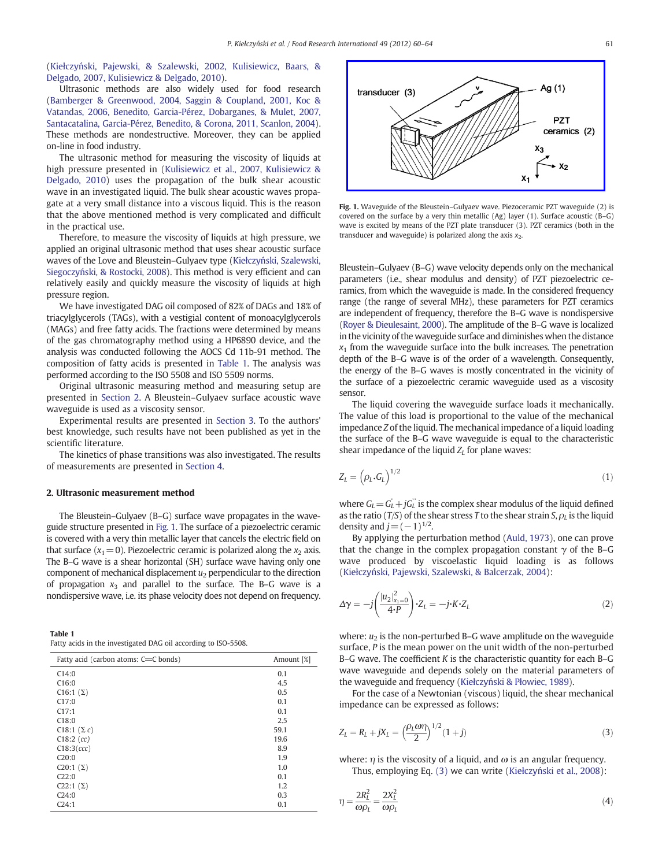(Kiełczyń[ski, Pajewski, & Szalewski, 2002, Kulisiewicz, Baars, &](#page-3-0) [Delgado, 2007, Kulisiewicz & Delgado, 2010](#page-3-0)).

Ultrasonic methods are also widely used for food research [\(Bamberger & Greenwood, 2004, Saggin & Coupland, 2001, Koc &](#page-3-0) [Vatandas, 2006, Benedito, Garcia-Pérez, Dobarganes, & Mulet, 2007,](#page-3-0) [Santacatalina, Garcia-Pérez, Benedito, & Corona, 2011, Scanlon, 2004](#page-3-0)). These methods are nondestructive. Moreover, they can be applied on-line in food industry.

The ultrasonic method for measuring the viscosity of liquids at high pressure presented in ([Kulisiewicz et al., 2007, Kulisiewicz &](#page-3-0) [Delgado, 2010\)](#page-3-0) uses the propagation of the bulk shear acoustic wave in an investigated liquid. The bulk shear acoustic waves propagate at a very small distance into a viscous liquid. This is the reason that the above mentioned method is very complicated and difficult in the practical use.

Therefore, to measure the viscosity of liquids at high pressure, we applied an original ultrasonic method that uses shear acoustic surface waves of the Love and Bleustein–Gulyaev type (Kiełczyń[ski, Szalewski,](#page-3-0) Siegoczyń[ski, & Rostocki, 2008](#page-3-0)). This method is very efficient and can relatively easily and quickly measure the viscosity of liquids at high pressure region.

We have investigated DAG oil composed of 82% of DAGs and 18% of triacylglycerols (TAGs), with a vestigial content of monoacylglycerols (MAGs) and free fatty acids. The fractions were determined by means of the gas chromatography method using a HP6890 device, and the analysis was conducted following the AOCS Cd 11b-91 method. The composition of fatty acids is presented in Table 1. The analysis was performed according to the ISO 5508 and ISO 5509 norms.

Original ultrasonic measuring method and measuring setup are presented in Section 2. A Bleustein–Gulyaev surface acoustic wave waveguide is used as a viscosity sensor.

Experimental results are presented in [Section 3](#page-2-0). To the authors' best knowledge, such results have not been published as yet in the scientific literature.

The kinetics of phase transitions was also investigated. The results of measurements are presented in [Section 4](#page-2-0).

#### 2. Ultrasonic measurement method

The Bleustein–Gulyaev (B–G) surface wave propagates in the waveguide structure presented in Fig. 1. The surface of a piezoelectric ceramic is covered with a very thin metallic layer that cancels the electric field on that surface  $(x_1=0)$ . Piezoelectric ceramic is polarized along the  $x_2$  axis. The B–G wave is a shear horizontal (SH) surface wave having only one component of mechanical displacement  $u_2$  perpendicular to the direction of propagation  $x_3$  and parallel to the surface. The B-G wave is a nondispersive wave, i.e. its phase velocity does not depend on frequency.

| Table 1 |                                                                |  |
|---------|----------------------------------------------------------------|--|
|         | Fatty acids in the investigated DAG oil according to ISO-5508. |  |

| Fatty acid (carbon atoms: C=C bonds) | Amount [%] |
|--------------------------------------|------------|
| C14:0                                | 0.1        |
| C16:0                                | 4.5        |
| C <sub>16</sub> :1 $(\Sigma)$        | 0.5        |
| C17:0                                | 0.1        |
| C17:1                                | 0.1        |
| C18:0                                | 2.5        |
| C18:1 $(\Sigma c)$                   | 59.1       |
| $C18:2$ (cc)                         | 19.6       |
| C18:3(ccc)                           | 8.9        |
| C20:0                                | 1.9        |
| $C20:1 (\Sigma)$                     | 1.0        |
| C22:0                                | 0.1        |
| $C22:1 (\Sigma)$                     | 1.2        |
| C24:0                                | 0.3        |
| C24:1                                | 0.1        |



Fig. 1. Waveguide of the Bleustein–Gulyaev wave. Piezoceramic PZT waveguide (2) is covered on the surface by a very thin metallic (Ag) layer (1). Surface acoustic (B–G) wave is excited by means of the PZT plate transducer (3). PZT ceramics (both in the transducer and waveguide) is polarized along the axis  $x_2$ .

Bleustein–Gulyaev (B–G) wave velocity depends only on the mechanical parameters (i.e., shear modulus and density) of PZT piezoelectric ceramics, from which the waveguide is made. In the considered frequency range (the range of several MHz), these parameters for PZT ceramics are independent of frequency, therefore the B–G wave is nondispersive [\(Royer & Dieulesaint, 2000\)](#page-3-0). The amplitude of the B–G wave is localized in the vicinity of the waveguide surface and diminishes when the distance  $x_1$  from the waveguide surface into the bulk increases. The penetration depth of the B–G wave is of the order of a wavelength. Consequently, the energy of the B–G waves is mostly concentrated in the vicinity of the surface of a piezoelectric ceramic waveguide used as a viscosity sensor.

The liquid covering the waveguide surface loads it mechanically. The value of this load is proportional to the value of the mechanical impedance Z of the liquid. The mechanical impedance of a liquid loading the surface of the B–G wave waveguide is equal to the characteristic shear impedance of the liquid  $Z_I$  for plane waves:

$$
Z_L = \left(\rho_L \cdot G_L\right)^{1/2} \tag{1}
$$

where  $G_L = G'_L + jG'_L$  is the complex shear modulus of the liquid defined as the ratio (T/S) of the shear stress T to the shear strain S,  $\rho_I$  is the liquid density and  $i=(-1)^{1/2}$ .

By applying the perturbation method ([Auld, 1973\)](#page-3-0), one can prove that the change in the complex propagation constant  $\gamma$  of the B–G wave produced by viscoelastic liquid loading is as follows (Kiełczyń[ski, Pajewski, Szalewski, & Balcerzak, 2004\)](#page-3-0):

$$
\Delta \gamma = -j \left( \frac{|u_2|_{x_1=0}^2}{4 \cdot P} \right) \cdot Z_L = -j \cdot K \cdot Z_L \tag{2}
$$

where:  $u_2$  is the non-perturbed B–G wave amplitude on the waveguide surface, P is the mean power on the unit width of the non-perturbed B–G wave. The coefficient K is the characteristic quantity for each B–G wave waveguide and depends solely on the material parameters of the waveguide and frequency (Kiełczyński & Pł[owiec, 1989](#page-3-0)).

For the case of a Newtonian (viscous) liquid, the shear mechanical impedance can be expressed as follows:

$$
Z_L = R_L + jX_L = \left(\frac{\rho_L \omega \eta}{2}\right)^{1/2} (1+j)
$$
\n(3)

where:  $\eta$  is the viscosity of a liquid, and  $\omega$  is an angular frequency. Thus, employing Eq. (3) we can write (Kiełczyń[ski et al., 2008](#page-3-0)):

$$
\eta = \frac{2R_L^2}{\omega \rho_L} = \frac{2X_L^2}{\omega \rho_L} \tag{4}
$$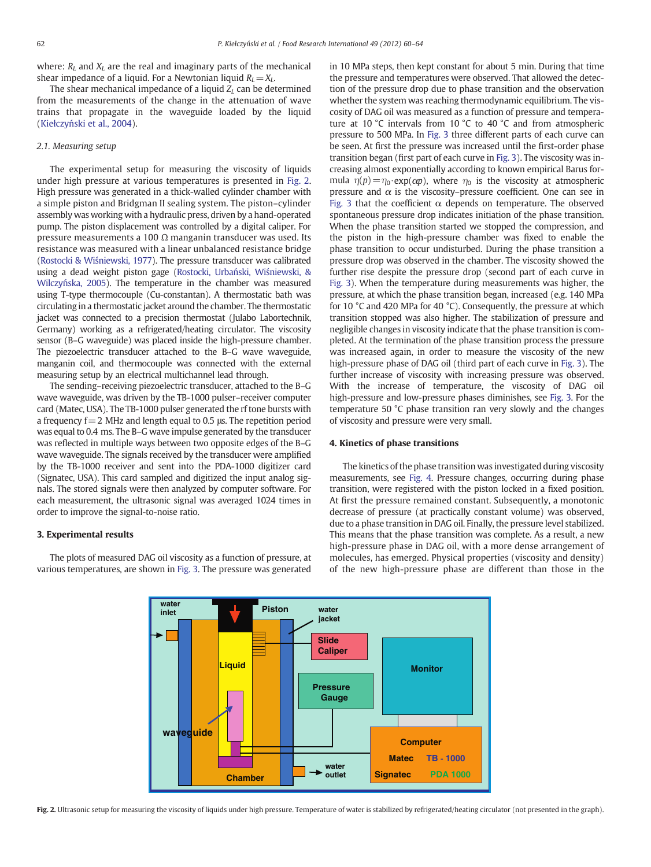<span id="page-2-0"></span>where:  $R_L$  and  $X_L$  are the real and imaginary parts of the mechanical shear impedance of a liquid. For a Newtonian liquid  $R_l=X_l$ .

The shear mechanical impedance of a liquid  $Z<sub>I</sub>$  can be determined from the measurements of the change in the attenuation of wave trains that propagate in the waveguide loaded by the liquid (Kiełczyń[ski et al., 2004\)](#page-3-0).

### 2.1. Measuring setup

The experimental setup for measuring the viscosity of liquids under high pressure at various temperatures is presented in Fig. 2. High pressure was generated in a thick-walled cylinder chamber with a simple piston and Bridgman II sealing system. The piston–cylinder assembly was working with a hydraulic press, driven by a hand-operated pump. The piston displacement was controlled by a digital caliper. For pressure measurements a 100 Ω manganin transducer was used. Its resistance was measured with a linear unbalanced resistance bridge [\(Rostocki & Wi](#page-3-0)śniewski, 1977). The pressure transducer was calibrated using a dead weight piston gage [\(Rostocki, Urba](#page-3-0)ński, Wiśniewski, & Wilczyń[ska, 2005\)](#page-3-0). The temperature in the chamber was measured using T-type thermocouple (Cu-constantan). A thermostatic bath was circulating in a thermostatic jacket around the chamber. The thermostatic jacket was connected to a precision thermostat (Julabo Labortechnik, Germany) working as a refrigerated/heating circulator. The viscosity sensor (B–G waveguide) was placed inside the high-pressure chamber. The piezoelectric transducer attached to the B–G wave waveguide, manganin coil, and thermocouple was connected with the external measuring setup by an electrical multichannel lead through.

The sending–receiving piezoelectric transducer, attached to the B–G wave waveguide, was driven by the TB-1000 pulser–receiver computer card (Matec, USA). The TB-1000 pulser generated the rf tone bursts with a frequency  $f=2$  MHz and length equal to 0.5 μs. The repetition period was equal to 0.4 ms. The B–G wave impulse generated by the transducer was reflected in multiple ways between two opposite edges of the B–G wave waveguide. The signals received by the transducer were amplified by the TB-1000 receiver and sent into the PDA-1000 digitizer card (Signatec, USA). This card sampled and digitized the input analog signals. The stored signals were then analyzed by computer software. For each measurement, the ultrasonic signal was averaged 1024 times in order to improve the signal-to-noise ratio.

# 3. Experimental results

The plots of measured DAG oil viscosity as a function of pressure, at various temperatures, are shown in [Fig. 3.](#page-3-0) The pressure was generated in 10 MPa steps, then kept constant for about 5 min. During that time the pressure and temperatures were observed. That allowed the detection of the pressure drop due to phase transition and the observation whether the system was reaching thermodynamic equilibrium. The viscosity of DAG oil was measured as a function of pressure and temperature at 10 °C intervals from 10 °C to 40 °C and from atmospheric pressure to 500 MPa. In [Fig. 3](#page-3-0) three different parts of each curve can be seen. At first the pressure was increased until the first-order phase transition began (first part of each curve in [Fig. 3\)](#page-3-0). The viscosity was increasing almost exponentially according to known empirical Barus formula  $\eta(p) = \eta_0$ •exp( $\alpha p$ ), where  $\eta_0$  is the viscosity at atmospheric pressure and  $\alpha$  is the viscosity–pressure coefficient. One can see in [Fig. 3](#page-3-0) that the coefficient  $\alpha$  depends on temperature. The observed spontaneous pressure drop indicates initiation of the phase transition. When the phase transition started we stopped the compression, and the piston in the high-pressure chamber was fixed to enable the phase transition to occur undisturbed. During the phase transition a pressure drop was observed in the chamber. The viscosity showed the further rise despite the pressure drop (second part of each curve in [Fig. 3\)](#page-3-0). When the temperature during measurements was higher, the pressure, at which the phase transition began, increased (e.g. 140 MPa for 10 °C and 420 MPa for 40 °C). Consequently, the pressure at which transition stopped was also higher. The stabilization of pressure and negligible changes in viscosity indicate that the phase transition is completed. At the termination of the phase transition process the pressure was increased again, in order to measure the viscosity of the new high-pressure phase of DAG oil (third part of each curve in [Fig. 3](#page-3-0)). The further increase of viscosity with increasing pressure was observed. With the increase of temperature, the viscosity of DAG oil high-pressure and low-pressure phases diminishes, see [Fig. 3.](#page-3-0) For the temperature 50 °C phase transition ran very slowly and the changes of viscosity and pressure were very small.

### 4. Kinetics of phase transitions

The kinetics of the phase transition was investigated during viscosity measurements, see [Fig. 4.](#page-3-0) Pressure changes, occurring during phase transition, were registered with the piston locked in a fixed position. At first the pressure remained constant. Subsequently, a monotonic decrease of pressure (at practically constant volume) was observed, due to a phase transition in DAG oil. Finally, the pressure level stabilized. This means that the phase transition was complete. As a result, a new high-pressure phase in DAG oil, with a more dense arrangement of molecules, has emerged. Physical properties (viscosity and density) of the new high-pressure phase are different than those in the



Fig. 2. Ultrasonic setup for measuring the viscosity of liquids under high pressure. Temperature of water is stabilized by refrigerated/heating circulator (not presented in the graph).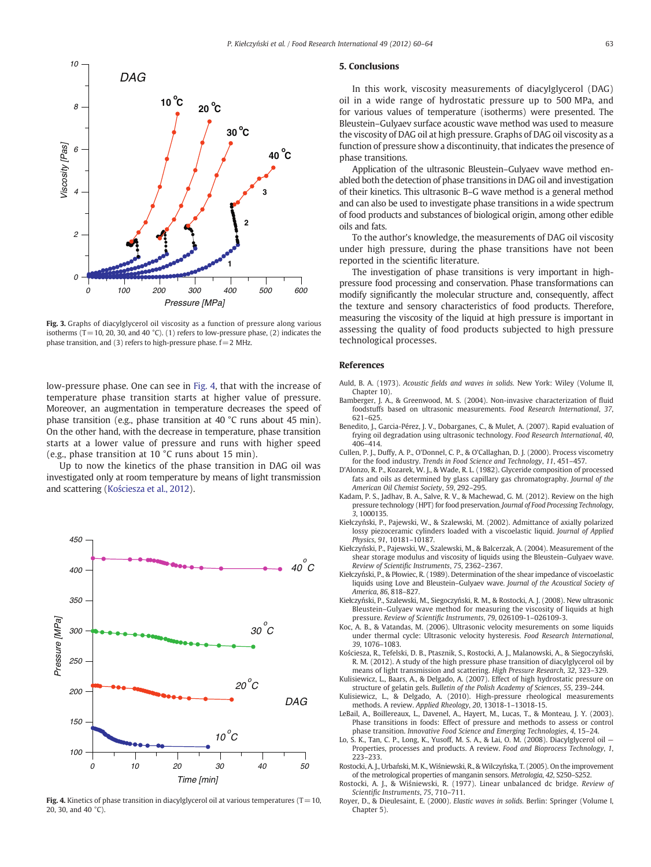<span id="page-3-0"></span>

Fig. 3. Graphs of diacylglycerol oil viscosity as a function of pressure along various isotherms  $(T=10, 20, 30,$  and  $40 °C$ ). (1) refers to low-pressure phase, (2) indicates the phase transition, and (3) refers to high-pressure phase.  $f=2$  MHz.

low-pressure phase. One can see in Fig. 4, that with the increase of temperature phase transition starts at higher value of pressure. Moreover, an augmentation in temperature decreases the speed of phase transition (e.g., phase transition at 40 °C runs about 45 min). On the other hand, with the decrease in temperature, phase transition starts at a lower value of pressure and runs with higher speed (e.g., phase transition at 10 °C runs about 15 min).

Up to now the kinetics of the phase transition in DAG oil was investigated only at room temperature by means of light transmission and scattering (Kościesza et al., 2012).



Fig. 4. Kinetics of phase transition in diacylglycerol oil at various temperatures (T=10, 20, 30, and 40 °C).

# 5. Conclusions

In this work, viscosity measurements of diacylglycerol (DAG) oil in a wide range of hydrostatic pressure up to 500 MPa, and for various values of temperature (isotherms) were presented. The Bleustein–Gulyaev surface acoustic wave method was used to measure the viscosity of DAG oil at high pressure. Graphs of DAG oil viscosity as a function of pressure show a discontinuity, that indicates the presence of phase transitions.

Application of the ultrasonic Bleustein–Gulyaev wave method enabled both the detection of phase transitions in DAG oil and investigation of their kinetics. This ultrasonic B–G wave method is a general method and can also be used to investigate phase transitions in a wide spectrum of food products and substances of biological origin, among other edible oils and fats.

To the author's knowledge, the measurements of DAG oil viscosity under high pressure, during the phase transitions have not been reported in the scientific literature.

The investigation of phase transitions is very important in highpressure food processing and conservation. Phase transformations can modify significantly the molecular structure and, consequently, affect the texture and sensory characteristics of food products. Therefore, measuring the viscosity of the liquid at high pressure is important in assessing the quality of food products subjected to high pressure technological processes.

#### References

- Auld, B. A. (1973). Acoustic fields and waves in solids. New York: Wiley (Volume II, Chapter 10).
- Bamberger, J. A., & Greenwood, M. S. (2004). Non-invasive characterization of fluid foodstuffs based on ultrasonic measurements. Food Research International, 37, 621–625.
- Benedito, J., Garcia-Pérez, J. V., Dobarganes, C., & Mulet, A. (2007). Rapid evaluation of frying oil degradation using ultrasonic technology. Food Research International, 40, 406–414.
- Cullen, P. J., Duffy, A. P., O'Donnel, C. P., & O'Callaghan, D. J. (2000). Process viscometry for the food industry. Trends in Food Science and Technology, 11, 451–457.
- D'Alonzo, R. P., Kozarek, W. J., & Wade, R. L. (1982). Glyceride composition of processed fats and oils as determined by glass capillary gas chromatography. Journal of the American Oil Chemist Society, 59, 292–295.
- Kadam, P. S., Jadhav, B. A., Salve, R. V., & Machewad, G. M. (2012). Review on the high pressure technology (HPT) for food preservation. Journal of Food Processing Technology, 3, 1000135.
- Kiełczyński, P., Pajewski, W., & Szalewski, M. (2002). Admittance of axially polarized lossy piezoceramic cylinders loaded with a viscoelastic liquid. Journal of Applied Physics, 91, 10181–10187.
- Kiełczyński, P., Pajewski, W., Szalewski, M., & Balcerzak, A. (2004). Measurement of the shear storage modulus and viscosity of liquids using the Bleustein–Gulyaev wave. Review of Scientific Instruments, 75, 2362–2367.
- Kiełczyński, P., & Płowiec, R. (1989). Determination of the shear impedance of viscoelastic liquids using Love and Bleustein–Gulyaev wave. Journal of the Acoustical Society of America, 86, 818–827.
- Kiełczyński, P., Szalewski, M., Siegoczyński, R. M., & Rostocki, A. J. (2008). New ultrasonic Bleustein–Gulyaev wave method for measuring the viscosity of liquids at high pressure. Review of Scientific Instruments, 79, 026109-1–026109-3.
- Koc, A. B., & Vatandas, M. (2006). Ultrasonic velocity mesurements on some liquids under thermal cycle: Ultrasonic velocity hysteresis. Food Research International, 39, 1076–1083.
- Kościesza, R., Tefelski, D. B., Ptasznik, S., Rostocki, A. J., Malanowski, A., & Siegoczyński, R. M. (2012). A study of the high pressure phase transition of diacylglycerol oil by means of light transmission and scattering. High Pressure Research, 32, 323–329.
- Kulisiewicz, L., Baars, A., & Delgado, A. (2007). Effect of high hydrostatic pressure on structure of gelatin gels. Bulletin of the Polish Academy of Sciences, 55, 239–244.
- Kulisiewicz, L., & Delgado, A. (2010). High-pressure rheological measurements methods. A review. Applied Rheology, 20, 13018-1–13018-15.
- LeBail, A., Boillereaux, L., Davenel, A., Hayert, M., Lucas, T., & Monteau, J. Y. (2003). Phase transitions in foods: Effect of pressure and methods to assess or control phase transition. Innovative Food Science and Emerging Technologies, 4, 15–24.
- Lo, S. K., Tan, C. P., Long, K., Yusoff, M. S. A., & Lai, O. M. (2008). Diacylglycerol oil -Properties, processes and products. A review. Food and Bioprocess Technology, 1, 223–233.
- Rostocki, A. J., Urbański, M. K., Wiśniewski, R., & Wilczyńska, T. (2005). On the improvement of the metrological properties of manganin sensors. Metrologia, 42, S250–S252.
- Rostocki, A. J., & Wiśniewski, R. (1977). Linear unbalanced dc bridge. Review of Scientific Instruments, 75, 710–711.
- Royer, D., & Dieulesaint, E. (2000). Elastic waves in solids. Berlin: Springer (Volume I, Chapter 5).